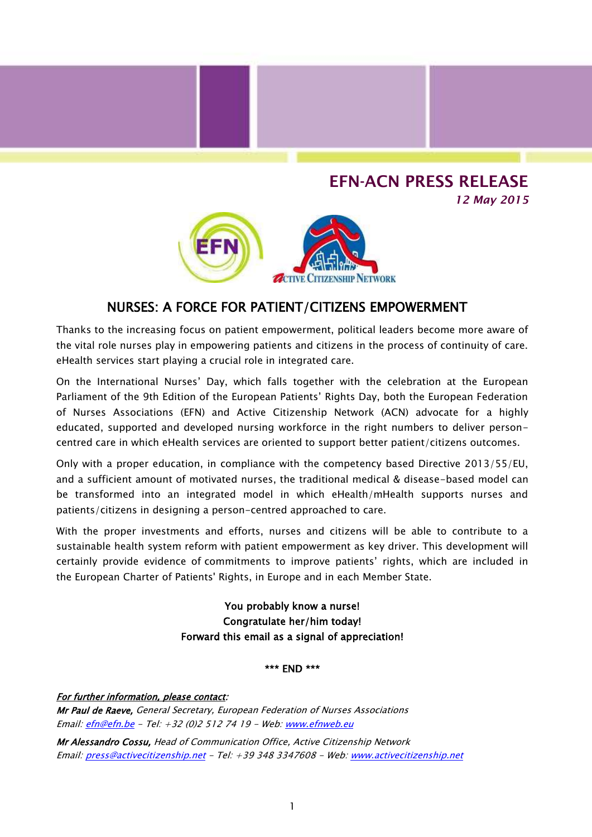## **EFN-ACN PRESS RELEASE**

*12 May 2015*



## NURSES: A FORCE FOR PATIENT/CITIZENS EMPOWERMENT

Thanks to the increasing focus on patient empowerment, political leaders become more aware of the vital role nurses play in empowering patients and citizens in the process of continuity of care. eHealth services start playing a crucial role in integrated care.

On the International Nurses' Day, which falls together with the celebration at the European Parliament of the 9th Edition of the European Patients' Rights Day, both the European Federation of Nurses Associations (EFN) and Active Citizenship Network (ACN) advocate for a highly educated, supported and developed nursing workforce in the right numbers to deliver personcentred care in which eHealth services are oriented to support better patient/citizens outcomes.

Only with a proper education, in compliance with the competency based Directive 2013/55/EU, and a sufficient amount of motivated nurses, the traditional medical & disease-based model can be transformed into an integrated model in which eHealth/mHealth supports nurses and patients/citizens in designing a person-centred approached to care.

With the proper investments and efforts, nurses and citizens will be able to contribute to a sustainable health system reform with patient empowerment as key driver. This development will certainly provide evidence of commitments to improve patients' rights, which are included in the European Charter of Patients' Rights, in Europe and in each Member State.

> You probably know a nurse! Congratulate her/him today! Forward this email as a signal of appreciation!

## \*\*\* END \*\*\*

For further information, please contact: Mr Paul de Raeve, General Secretary, European Federation of Nurses Associations Email: [efn@efn.be](mailto:efn@efn.be) - Tel: +32 (0)2 512 74 19 - Web: [www.efnweb.eu](http://www.efnweb.eu/)

Mr Alessandro Cossu, Head of Communication Office, Active Citizenship Network Email: [press@activecitizenship.net](mailto:press@activecitizenship.net) - Tel: +39 348 3347608 - Web[: www.activecitizenship.net](http://www.activecitizenship.net/)